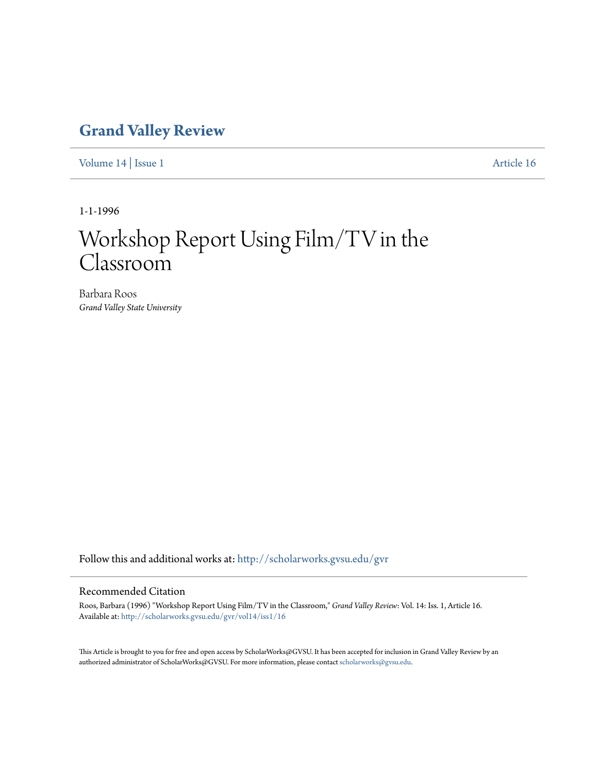## **[Grand Valley Review](http://scholarworks.gvsu.edu/gvr?utm_source=scholarworks.gvsu.edu%2Fgvr%2Fvol14%2Fiss1%2F16&utm_medium=PDF&utm_campaign=PDFCoverPages)**

[Volume 14](http://scholarworks.gvsu.edu/gvr/vol14?utm_source=scholarworks.gvsu.edu%2Fgvr%2Fvol14%2Fiss1%2F16&utm_medium=PDF&utm_campaign=PDFCoverPages) | [Issue 1](http://scholarworks.gvsu.edu/gvr/vol14/iss1?utm_source=scholarworks.gvsu.edu%2Fgvr%2Fvol14%2Fiss1%2F16&utm_medium=PDF&utm_campaign=PDFCoverPages) [Article 16](http://scholarworks.gvsu.edu/gvr/vol14/iss1/16?utm_source=scholarworks.gvsu.edu%2Fgvr%2Fvol14%2Fiss1%2F16&utm_medium=PDF&utm_campaign=PDFCoverPages)

1-1-1996

# Workshop Report Using Film/TV in the Classroom

Barbara Roos *Grand Valley State University*

Follow this and additional works at: [http://scholarworks.gvsu.edu/gvr](http://scholarworks.gvsu.edu/gvr?utm_source=scholarworks.gvsu.edu%2Fgvr%2Fvol14%2Fiss1%2F16&utm_medium=PDF&utm_campaign=PDFCoverPages)

#### Recommended Citation

Roos, Barbara (1996) "Workshop Report Using Film/TV in the Classroom," *Grand Valley Review*: Vol. 14: Iss. 1, Article 16. Available at: [http://scholarworks.gvsu.edu/gvr/vol14/iss1/16](http://scholarworks.gvsu.edu/gvr/vol14/iss1/16?utm_source=scholarworks.gvsu.edu%2Fgvr%2Fvol14%2Fiss1%2F16&utm_medium=PDF&utm_campaign=PDFCoverPages)

This Article is brought to you for free and open access by ScholarWorks@GVSU. It has been accepted for inclusion in Grand Valley Review by an authorized administrator of ScholarWorks@GVSU. For more information, please contact [scholarworks@gvsu.edu.](mailto:scholarworks@gvsu.edu)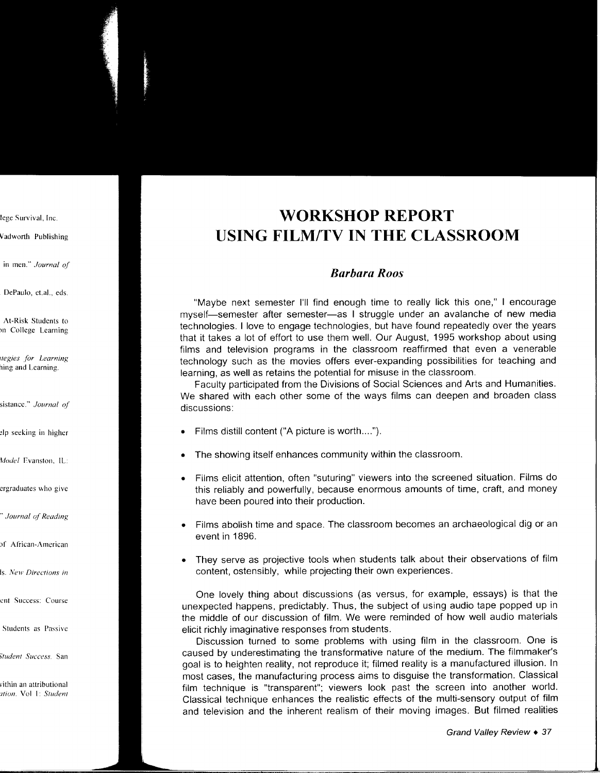## **WORKSHOP REPORT USING FILM/TV IN THE CLASSROOM**

### *Barbara Roos*

"Maybe next semester I'll find enough time to really lick this one," I encourage myself-semester after semester-as I struggle under an avalanche of new media technologies. I love to engage technologies, but have found repeatedly over the years that it takes a lot of effort to use them welL Our August, 1995 workshop about using films and television programs in the classroom reaffirmed that even a venerable technology such as the movies offers ever-expanding possibilities for teaching and learning, as well as retains the potential for misuse in the classroom.

Faculty participated from the Divisions of Social Sciences and Arts and Humanities. We shared with each other some of the ways films can deepen and broaden class discussions:

- Films distill content ("A picture is worth .... ").
- The showing itself enhances community within the classroom.
- Films elicit attention, often "suturing" viewers into the screened situation. Films do this reliably and powerfully, because enormous amounts of time, craft, and money have been poured into their production.
- Films abolish time and space. The classroom becomes an archaeological dig or an event in 1896.
- They serve as projective tools when students talk about their observations of film content, ostensibly, while projecting their own experiences.

One lovely thing about discussions (as versus, for example, essays) is that the unexpected happens, predictably. Thus, the subject of using audio tape popped up in the middle of our discussion of film. We were reminded of how well audio materials elicit richly imaginative responses from students.

Discussion turned to some problems with using film in the classroom. One is caused by underestimating the transformative nature of the medium. The filmmaker's goal is to heighten reality, not reproduce it; filmed reality is a manufactured illusion. In most cases, the manufacturing process aims to disguise the transformation. Classical film technique is "transparent"; viewers look past the screen into another world. Classical technique enhances the realistic effects of the multi-sensory output of film and television and the inherent realism of their moving images. But filmed realities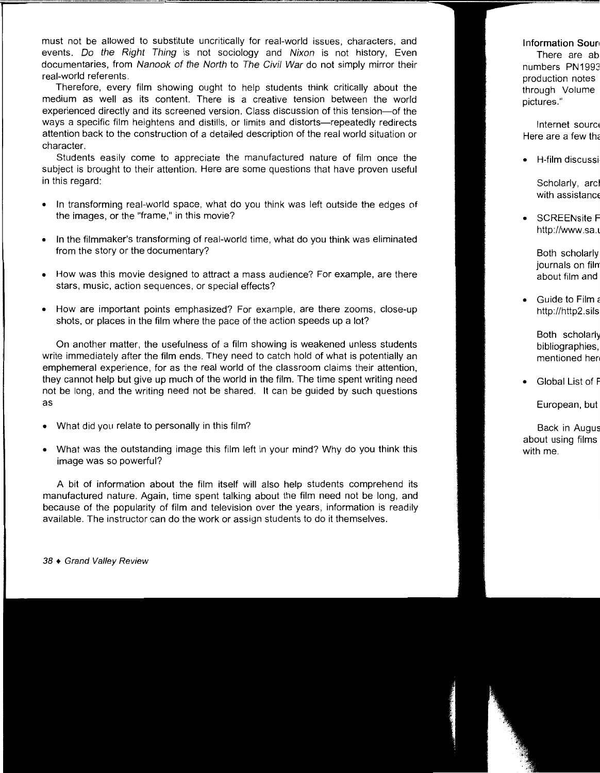must not be allowed to substitute uncritically for real-world issues, characters, and events. Do the Right Thing is not sociology and Nixon is not history, Even documentaries, from Nanook of the North to The Civil War do not simply mirror their real-world referents.

Therefore, every film showing ought to help students think critically about the medium as well as its content. There is a creative tension between the world experienced directly and its screened version. Class discussion of this tension-of the ways a specific film heightens and distills, or limits and distorts-repeatedly redirects attention back to the construction of a detailed description of the real world situation or character.

Students easily come to appreciate the manufactured nature of film once the subject is brought to their attention. Here are some questions that have proven useful in this regard:

- In transforming real-world space, what do you think was left outside the edges of the images, or the "frame," in this movie?
- In the filmmaker's transforming of real-world time, what do you think was eliminated from the story or the documentary?
- How was this movie designed to attract a mass audience? For example, are there stars, music, action sequences, or special effects?
- How are important points emphasized? For example, are there zooms, close-up shots, or places in the film where the pace of the action speeds up a lot?

On another matter, the usefulness of a film showing is weakened unless students write immediately after the film ends. They need to catch hold of what is potentially an emphemeral experience, for as the real world of the classroom claims their attention, they cannot help but give up much of the world in the film. The time spent writing need not be long, and the writing need not be shared. It can be guided by such questions as

- What did you relate to personally in this film?
- What was the outstanding image this film left in your mind? Why do you think this image was so powerful?

A bit of information about the film itself will also help students comprehend its manufactured nature. Again, time spent talking about the film need not be long, and because of the popularity of film and television over the years, information is readily available. The instructor can do the work or assign students to do it themselves.